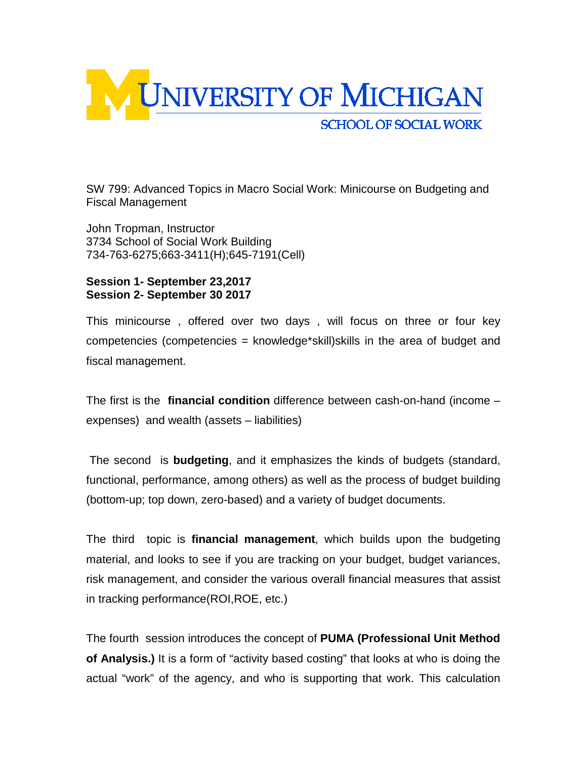

John Tropman, Instructor 3734 School of Social Work Building 734-763-6275;663-3411(H);645-7191(Cell)

### **Session 1- September 23,2017 Session 2- September 30 2017**

This minicourse , offered over two days , will focus on three or four key competencies (competencies = knowledge\*skill)skills in the area of budget and fiscal management.

The first is the **financial condition** difference between cash-on-hand (income – expenses) and wealth (assets – liabilities)

The second is **budgeting**, and it emphasizes the kinds of budgets (standard, functional, performance, among others) as well as the process of budget building (bottom-up; top down, zero-based) and a variety of budget documents.

The third topic is **financial management**, which builds upon the budgeting material, and looks to see if you are tracking on your budget, budget variances, risk management, and consider the various overall financial measures that assist in tracking performance(ROI,ROE, etc.)

The fourth session introduces the concept of **PUMA (Professional Unit Method of Analysis.)** It is a form of "activity based costing" that looks at who is doing the actual "work" of the agency, and who is supporting that work. This calculation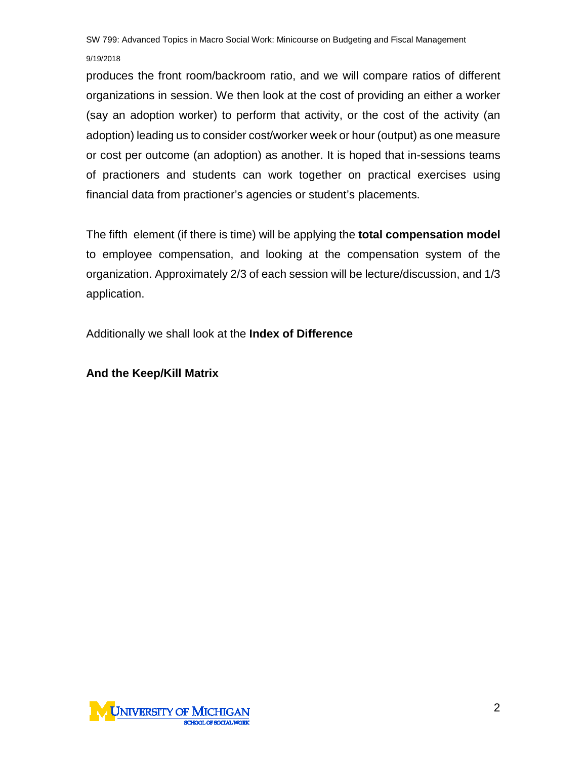produces the front room/backroom ratio, and we will compare ratios of different organizations in session. We then look at the cost of providing an either a worker (say an adoption worker) to perform that activity, or the cost of the activity (an adoption) leading us to consider cost/worker week or hour (output) as one measure or cost per outcome (an adoption) as another. It is hoped that in-sessions teams of practioners and students can work together on practical exercises using financial data from practioner's agencies or student's placements.

The fifth element (if there is time) will be applying the **total compensation model** to employee compensation, and looking at the compensation system of the organization. Approximately 2/3 of each session will be lecture/discussion, and 1/3 application.

Additionally we shall look at the **Index of Difference**

### **And the Keep/Kill Matrix**

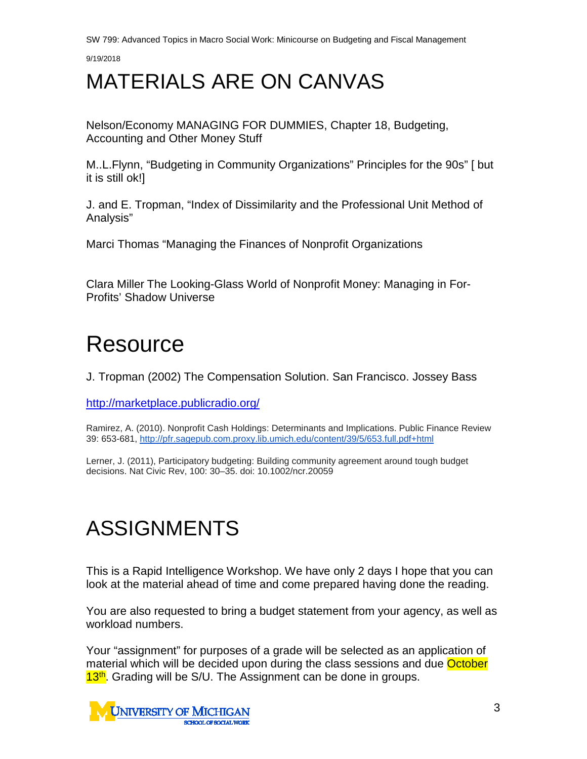9/19/2018

## MATERIALS ARE ON CANVAS

Nelson/Economy MANAGING FOR DUMMIES, Chapter 18, Budgeting, Accounting and Other Money Stuff

M..L.Flynn, "Budgeting in Community Organizations" Principles for the 90s" [ but it is still ok!]

J. and E. Tropman, "Index of Dissimilarity and the Professional Unit Method of Analysis"

Marci Thomas "Managing the Finances of Nonprofit Organizations

Clara Miller The Looking-Glass World of Nonprofit Money: Managing in For-Profits' Shadow Universe

## **Resource**

J. Tropman (2002) The Compensation Solution. San Francisco. Jossey Bass

<http://marketplace.publicradio.org/>

Ramirez, A. (2010). Nonprofit Cash Holdings: Determinants and Implications. Public Finance Review 39: 653-681, <http://pfr.sagepub.com.proxy.lib.umich.edu/content/39/5/653.full.pdf+html>

Lerner, J. (2011), Participatory budgeting: Building community agreement around tough budget decisions. Nat Civic Rev, 100: 30–35. doi: 10.1002/ncr.20059

## ASSIGNMENTS

This is a Rapid Intelligence Workshop. We have only 2 days I hope that you can look at the material ahead of time and come prepared having done the reading.

You are also requested to bring a budget statement from your agency, as well as workload numbers.

Your "assignment" for purposes of a grade will be selected as an application of material which will be decided upon during the class sessions and due October 13<sup>th</sup>. Grading will be S/U. The Assignment can be done in groups.

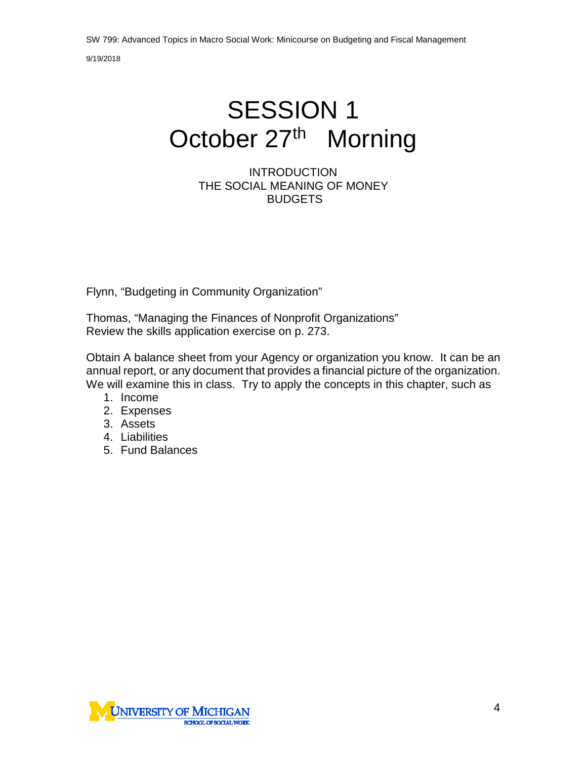# SESSION 1 October 27<sup>th</sup> Morning

### INTRODUCTION THE SOCIAL MEANING OF MONEY BUDGETS

Flynn, "Budgeting in Community Organization"

Thomas, "Managing the Finances of Nonprofit Organizations" Review the skills application exercise on p. 273.

Obtain A balance sheet from your Agency or organization you know. It can be an annual report, or any document that provides a financial picture of the organization. We will examine this in class. Try to apply the concepts in this chapter, such as

- 1. Income
- 2. Expenses
- 3. Assets
- 4. Liabilities
- 5. Fund Balances

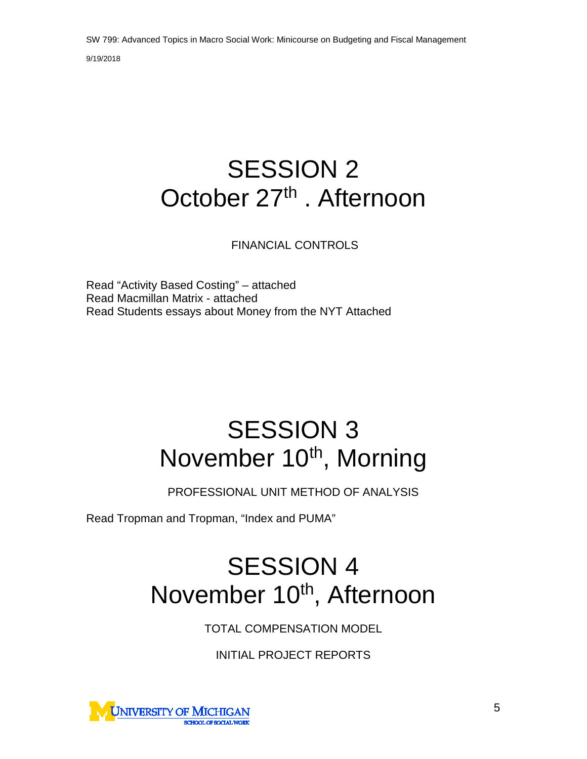# SESSION 2 October 27<sup>th</sup> . Afternoon

FINANCIAL CONTROLS

Read "Activity Based Costing" – attached Read Macmillan Matrix - attached Read Students essays about Money from the NYT Attached

# SESSION 3 November 10<sup>th</sup>, Morning

PROFESSIONAL UNIT METHOD OF ANALYSIS

Read Tropman and Tropman, "Index and PUMA"

# SESSION 4 November 10<sup>th</sup>, Afternoon

TOTAL COMPENSATION MODEL

INITIAL PROJECT REPORTS

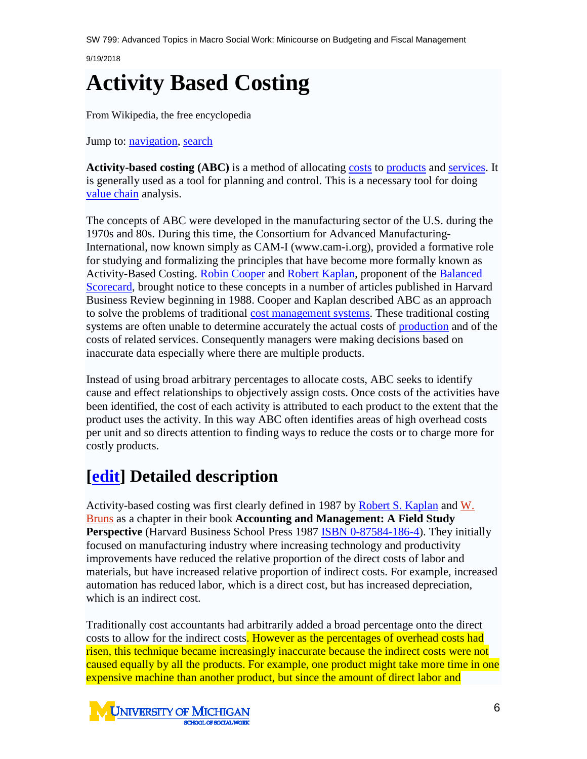9/19/2018

## **Activity Based Costing**

From Wikipedia, the free encyclopedia

Jump to: [navigation,](http://en.wikipedia.org/wiki/Activity-based_costing#column-one#column-one) [search](http://en.wikipedia.org/wiki/Activity-based_costing#searchInput#searchInput)

**Activity-based costing (ABC)** is a method of allocating [costs](http://en.wikipedia.org/wiki/Cost) to [products](http://en.wikipedia.org/wiki/Product_%28business%29) and [services.](http://en.wikipedia.org/wiki/Service) It is generally used as a tool for planning and control. This is a necessary tool for doing [value chain](http://en.wikipedia.org/wiki/Value_chain) analysis.

The concepts of ABC were developed in the manufacturing sector of the U.S. during the 1970s and 80s. During this time, the Consortium for Advanced Manufacturing-International, now known simply as CAM-I (www.cam-i.org), provided a formative role for studying and formalizing the principles that have become more formally known as Activity-Based Costing. [Robin Cooper](http://en.wikipedia.org/wiki/Robin_Cooper) and [Robert Kaplan,](http://en.wikipedia.org/wiki/Robert_Kaplan) proponent of the Balanced [Scorecard,](http://en.wikipedia.org/wiki/Balanced_Scorecard) brought notice to these concepts in a number of articles published in Harvard Business Review beginning in 1988. Cooper and Kaplan described ABC as an approach to solve the problems of traditional [cost management systems.](http://en.wikipedia.org/wiki/Cost_management) These traditional costing systems are often unable to determine accurately the actual costs of [production](http://en.wikipedia.org/wiki/Factors_of_production) and of the costs of related services. Consequently managers were making decisions based on inaccurate data especially where there are multiple products.

Instead of using broad arbitrary percentages to allocate costs, ABC seeks to identify cause and effect relationships to objectively assign costs. Once costs of the activities have been identified, the cost of each activity is attributed to each product to the extent that the product uses the activity. In this way ABC often identifies areas of high overhead costs per unit and so directs attention to finding ways to reduce the costs or to charge more for costly products.

## **[\[edit\]](http://en.wikipedia.org/w/index.php?title=Activity-based_costing&action=edit§ion=1) Detailed description**

Activity-based costing was first clearly defined in 1987 by [Robert S. Kaplan](http://en.wikipedia.org/wiki/Robert_S._Kaplan) and [W.](http://en.wikipedia.org/w/index.php?title=W._Bruns&action=edit)  [Bruns](http://en.wikipedia.org/w/index.php?title=W._Bruns&action=edit) as a chapter in their book **Accounting and Management: A Field Study Perspective** (Harvard Business School Press 1987 [ISBN 0-87584-186-4\)](http://en.wikipedia.org/w/index.php?title=Special:Booksources&isbn=0875841864). They initially focused on manufacturing industry where increasing technology and productivity improvements have reduced the relative proportion of the direct costs of labor and materials, but have increased relative proportion of indirect costs. For example, increased automation has reduced labor, which is a direct cost, but has increased depreciation, which is an indirect cost.

Traditionally cost accountants had arbitrarily added a broad percentage onto the direct costs to allow for the indirect costs. However as the percentages of overhead costs had risen, this technique became increasingly inaccurate because the indirect costs were not caused equally by all the products. For example, one product might take more time in one expensive machine than another product, but since the amount of direct labor and

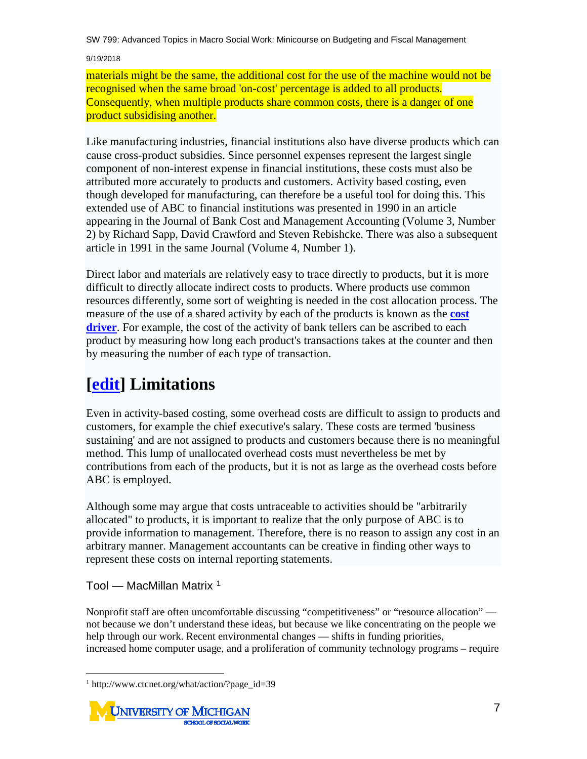#### 9/19/2018

materials might be the same, the additional cost for the use of the machine would not be recognised when the same broad 'on-cost' percentage is added to all products. Consequently, when multiple products share common costs, there is a danger of one product subsidising another.

Like manufacturing industries, financial institutions also have diverse products which can cause cross-product subsidies. Since personnel expenses represent the largest single component of non-interest expense in financial institutions, these costs must also be attributed more accurately to products and customers. Activity based costing, even though developed for manufacturing, can therefore be a useful tool for doing this. This extended use of ABC to financial institutions was presented in 1990 in an article appearing in the Journal of Bank Cost and Management Accounting (Volume 3, Number 2) by Richard Sapp, David Crawford and Steven Rebishcke. There was also a subsequent article in 1991 in the same Journal (Volume 4, Number 1).

Direct labor and materials are relatively easy to trace directly to products, but it is more difficult to directly allocate indirect costs to products. Where products use common resources differently, some sort of weighting is needed in the cost allocation process. The measure of the use of a shared activity by each of the products is known as the **[cost](http://en.wikipedia.org/wiki/Cost_driver)**  [driver](http://en.wikipedia.org/wiki/Cost_driver). For example, the cost of the activity of bank tellers can be ascribed to each product by measuring how long each product's transactions takes at the counter and then by measuring the number of each type of transaction.

### **[\[edit\]](http://en.wikipedia.org/w/index.php?title=Activity-based_costing&action=edit§ion=2) Limitations**

Even in activity-based costing, some overhead costs are difficult to assign to products and customers, for example the chief executive's salary. These costs are termed 'business sustaining' and are not assigned to products and customers because there is no meaningful method. This lump of unallocated overhead costs must nevertheless be met by contributions from each of the products, but it is not as large as the overhead costs before ABC is employed.

Although some may argue that costs untraceable to activities should be "arbitrarily allocated" to products, it is important to realize that the only purpose of ABC is to provide information to management. Therefore, there is no reason to assign any cost in an arbitrary manner. Management accountants can be creative in finding other ways to represent these costs on internal reporting statements.

Tool — MacMillan Matrix [1](#page-6-0)

Nonprofit staff are often uncomfortable discussing "competitiveness" or "resource allocation" not because we don't understand these ideas, but because we like concentrating on the people we help through our work. Recent environmental changes — shifts in funding priorities, increased home computer usage, and a proliferation of community technology programs – require

<span id="page-6-0"></span> $\overline{a}$ <sup>1</sup> http://www.ctcnet.org/what/action/?page\_id=39

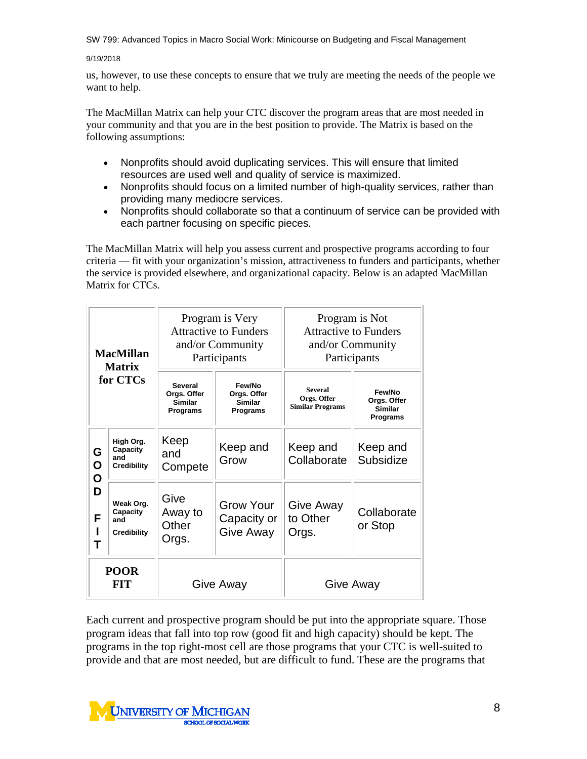#### 9/19/2018

us, however, to use these concepts to ensure that we truly are meeting the needs of the people we want to help.

The MacMillan Matrix can help your CTC discover the program areas that are most needed in your community and that you are in the best position to provide. The Matrix is based on the following assumptions:

- Nonprofits should avoid duplicating services. This will ensure that limited resources are used well and quality of service is maximized.
- Nonprofits should focus on a limited number of high-quality services, rather than providing many mediocre services.
- Nonprofits should collaborate so that a continuum of service can be provided with each partner focusing on specific pieces.

The MacMillan Matrix will help you assess current and prospective programs according to four criteria — fit with your organization's mission, attractiveness to funders and participants, whether the service is provided elsewhere, and organizational capacity. Below is an adapted MacMillan Matrix for CTCs.

| <b>MacMillan</b><br><b>Matrix</b><br>for CTCs |                                                    | Program is Very<br><b>Attractive to Funders</b><br>and/or Community<br>Participants |                                                     | Program is Not<br><b>Attractive to Funders</b><br>and/or Community<br>Participants |                                                     |
|-----------------------------------------------|----------------------------------------------------|-------------------------------------------------------------------------------------|-----------------------------------------------------|------------------------------------------------------------------------------------|-----------------------------------------------------|
|                                               |                                                    | <b>Several</b><br>Orgs. Offer<br>Similar<br><b>Programs</b>                         | Few/No<br>Orgs. Offer<br>Similar<br><b>Programs</b> | <b>Several</b><br>Orgs. Offer<br><b>Similar Programs</b>                           | Few/No<br>Orgs. Offer<br><b>Similar</b><br>Programs |
| G<br>O<br>O<br>D<br>F<br>ı<br>т               | High Org.<br>Capacity<br>and<br><b>Credibility</b> | Keep<br>and<br>Compete                                                              | Keep and<br>Grow                                    | Keep and<br>Collaborate                                                            | Keep and<br><b>Subsidize</b>                        |
|                                               | Weak Org.<br>Capacity<br>and<br><b>Credibility</b> | Give<br>Away to<br>Other<br>Orgs.                                                   | <b>Grow Your</b><br>Capacity or<br>Give Away        | Give Away<br>to Other<br>Orgs.                                                     | Collaborate<br>or Stop                              |
| <b>POOR</b><br>FIT                            |                                                    | Give Away                                                                           |                                                     | Give Away                                                                          |                                                     |

Each current and prospective program should be put into the appropriate square. Those program ideas that fall into top row (good fit and high capacity) should be kept. The programs in the top right-most cell are those programs that your CTC is well-suited to provide and that are most needed, but are difficult to fund. These are the programs that

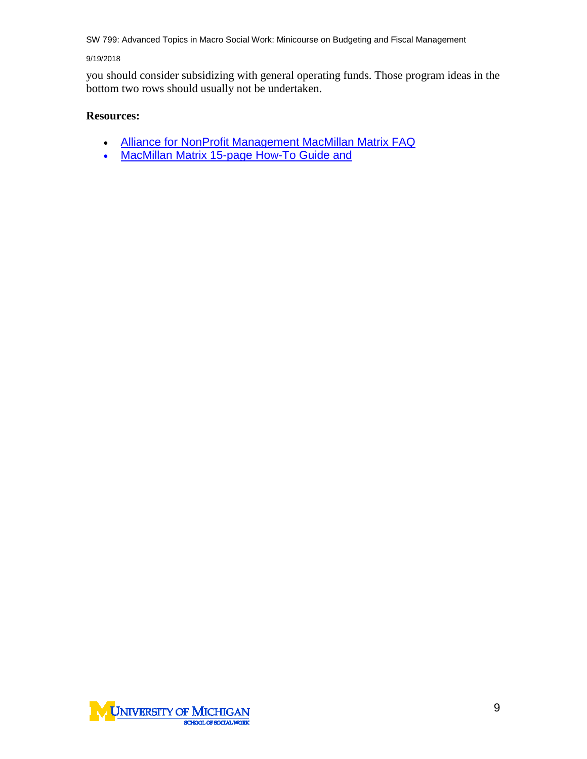#### 9/19/2018

you should consider subsidizing with general operating funds. Those program ideas in the bottom two rows should usually not be undertaken.

### **Resources:**

- [Alliance for NonProfit Management MacMillan Matrix FAQ](http://www.allianceonline.org/FAQ/strategic_planning/how_can_we_do_competitive.faq)
- MacMillan Matrix 15-page How-To Guide and

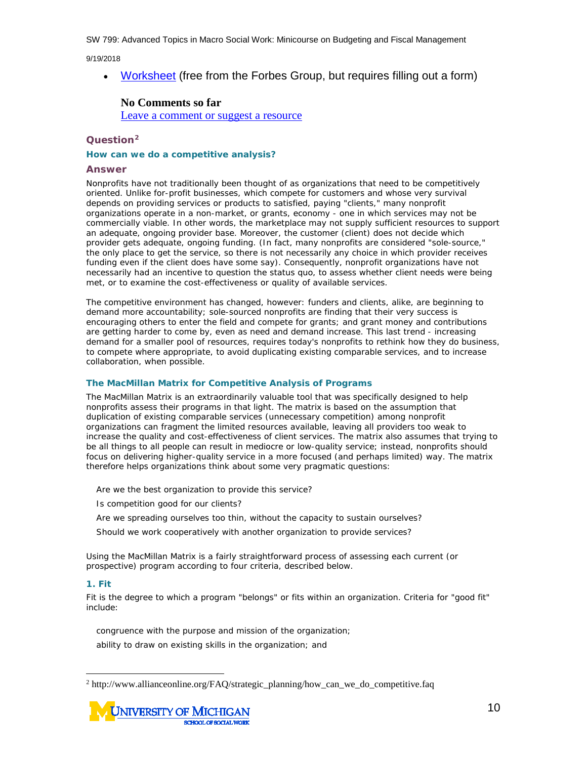9/19/2018

• [Worksheet](http://www.forbesgroup.com/products/index.cfm/fuseaction/ViewProduct/product_id/8/category_id/10200000000?CFID=2005707&CFTOKEN=5901076) (free from the Forbes Group, but requires filling out a form)

#### **No Comments so far**

[Leave a comment or suggest a resource](http://www.ctcnet.org/what/action/?page_id=39#postcomment#postcomment)

#### **Question[2](#page-9-0)**

#### **How can we do a competitive analysis?**

#### **Answer**

Nonprofits have not traditionally been thought of as organizations that need to be competitively oriented. Unlike for-profit businesses, which compete for customers and whose very survival depends on providing services or products to satisfied, paying "clients," many nonprofit organizations operate in a non-market, or grants, economy - one in which services may not be commercially viable. In other words, the marketplace may not supply sufficient resources to support an adequate, ongoing provider base. Moreover, the customer (client) does not decide which provider gets adequate, ongoing funding. (In fact, many nonprofits are considered "sole-source," the only place to get the service, so there is not necessarily any choice in which provider receives funding even if the client does have some say). Consequently, nonprofit organizations have not necessarily had an incentive to question the status quo, to assess whether client needs were being met, or to examine the cost-effectiveness or quality of available services.

The competitive environment has changed, however: funders and clients, alike, are beginning to demand more accountability; sole-sourced nonprofits are finding that their very success is encouraging others to enter the field and compete for grants; and grant money and contributions are getting harder to come by, even as need and demand increase. This last trend - increasing demand for a smaller pool of resources, requires today's nonprofits to rethink how they do business, to compete where appropriate, to avoid duplicating existing comparable services, and to increase collaboration, when possible.

#### **The MacMillan Matrix for Competitive Analysis of Programs**

The MacMillan Matrix is an extraordinarily valuable tool that was specifically designed to help nonprofits assess their programs in that light. The matrix is based on the assumption that duplication of existing comparable services (unnecessary competition) among nonprofit organizations can fragment the limited resources available, leaving all providers too weak to increase the quality and cost-effectiveness of client services. The matrix also assumes that trying to be all things to all people can result in mediocre or low-quality service; instead, nonprofits should focus on delivering higher-quality service in a more focused (and perhaps limited) way. The matrix therefore helps organizations think about some very pragmatic questions:

Are we the best organization to provide this service?

Is competition good for our clients?

Are we spreading ourselves too thin, without the capacity to sustain ourselves?

Should we work cooperatively with another organization to provide services?

Using the MacMillan Matrix is a fairly straightforward process of assessing each current (or prospective) program according to four criteria, described below.

#### **1. Fit**

 $\overline{a}$ 

Fit is the degree to which a program "belongs" or fits within an organization. Criteria for "good fit" include:

congruence with the purpose and mission of the organization;

ability to draw on existing skills in the organization; and

<span id="page-9-0"></span><sup>2</sup> http://www.allianceonline.org/FAQ/strategic\_planning/how\_can\_we\_do\_competitive.faq

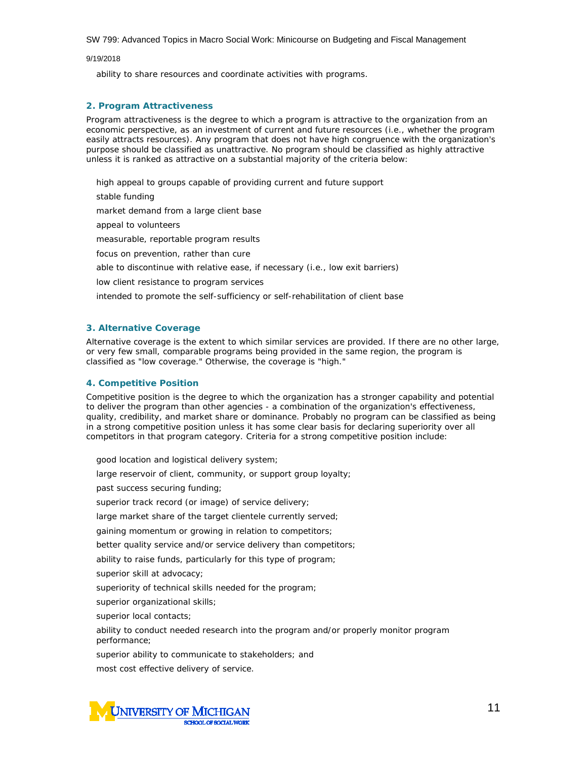#### 9/19/2018

ability to share resources and coordinate activities with programs.

#### **2. Program Attractiveness**

Program attractiveness is the degree to which a program is attractive to the organization from an economic perspective, as an investment of current and future resources (i.e., whether the program easily attracts resources). Any program that does not have high congruence with the organization's purpose should be classified as unattractive. No program should be classified as highly attractive unless it is ranked as attractive on a substantial majority of the criteria below:

high appeal to groups capable of providing current and future support

stable funding market demand from a large client base appeal to volunteers measurable, reportable program results focus on prevention, rather than cure able to discontinue with relative ease, if necessary (i.e., low exit barriers) low client resistance to program services intended to promote the self-sufficiency or self-rehabilitation of client base

#### **3. Alternative Coverage**

Alternative coverage is the extent to which similar services are provided. If there are no other large, or very few small, comparable programs being provided in the same region, the program is classified as "low coverage." Otherwise, the coverage is "high."

#### **4. Competitive Position**

Competitive position is the degree to which the organization has a stronger capability and potential to deliver the program than other agencies - a combination of the organization's effectiveness, quality, credibility, and market share or dominance. Probably no program can be classified as being in a strong competitive position unless it has some clear basis for declaring superiority over all competitors in that program category. Criteria for a strong competitive position include:

good location and logistical delivery system;

large reservoir of client, community, or support group loyalty;

past success securing funding;

superior track record (or image) of service delivery;

large market share of the target clientele currently served;

gaining momentum or growing in relation to competitors;

better quality service and/or service delivery than competitors;

ability to raise funds, particularly for this type of program;

superior skill at advocacy;

superiority of technical skills needed for the program;

superior organizational skills;

superior local contacts;

ability to conduct needed research into the program and/or properly monitor program performance;

superior ability to communicate to stakeholders; and

most cost effective delivery of service.

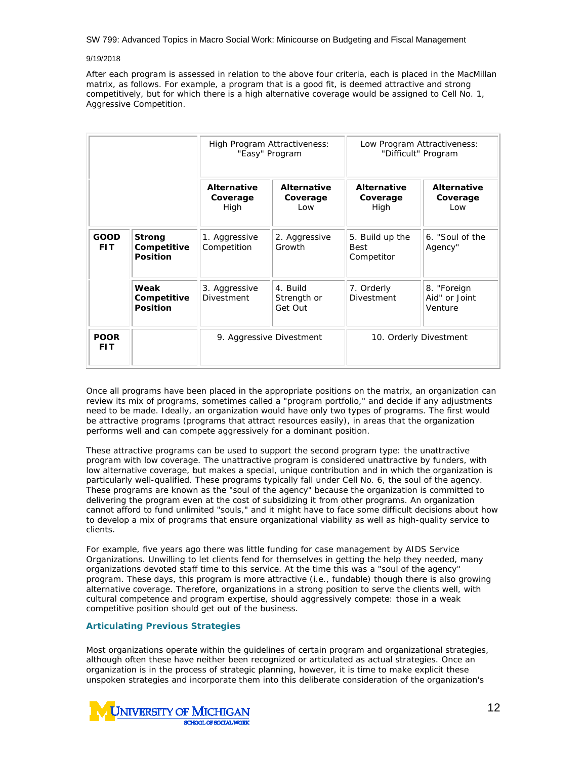#### 9/19/2018

After each program is assessed in relation to the above four criteria, each is placed in the MacMillan matrix, as follows. For example, a program that is a good fit, is deemed attractive and strong competitively, but for which there is a high alternative coverage would be assigned to Cell No. 1, *Aggressive Competition.*

|                           |                                          | High Program Attractiveness:<br>"Easy" Program |                                        | Low Program Attractiveness:<br>"Difficult" Program |                                            |
|---------------------------|------------------------------------------|------------------------------------------------|----------------------------------------|----------------------------------------------------|--------------------------------------------|
|                           |                                          | <b>Alternative</b><br>Coverage<br>High         | <b>Alternative</b><br>Coverage<br>l ow | <b>Alternative</b><br>Coverage<br>High             | <b>Alternative</b><br>Coverage<br>$I_{OW}$ |
| <b>GOOD</b><br><b>FIT</b> | Strong<br>Competitive<br><b>Position</b> | 1. Aggressive<br>Competition                   | 2. Aggressive<br>Growth                | 5. Build up the<br><b>Best</b><br>Competitor       | 6. "Soul of the<br>Agency"                 |
|                           | Weak<br>Competitive<br><b>Position</b>   | 3. Aggressive<br>Divestment                    | 4. Build<br>Strength or<br>Get Out     | 7. Orderly<br><b>Divestment</b>                    | 8. "Foreign<br>Aid" or Joint<br>Venture    |
| <b>POOR</b><br><b>FIT</b> |                                          | 9. Aggressive Divestment                       |                                        | 10. Orderly Divestment                             |                                            |

Once all programs have been placed in the appropriate positions on the matrix, an organization can review its mix of programs, sometimes called a "program portfolio," and decide if any adjustments need to be made. Ideally, an organization would have only two types of programs. The first would be attractive programs (programs that attract resources easily), in areas that the organization performs well and can compete aggressively for a dominant position.

These attractive programs can be used to support the second program type: the unattractive program with low coverage. The unattractive program is considered unattractive by funders, with low alternative coverage, but makes a special, unique contribution and in which the organization is particularly well-qualified. These programs typically fall under Cell No. 6, the soul of the agency. These programs are known as the "soul of the agency" because the organization is committed to delivering the program even at the cost of subsidizing it from other programs. An organization cannot afford to fund unlimited "souls," and it might have to face some difficult decisions about how to develop a mix of programs that ensure organizational viability as well as high-quality service to clients.

For example, five years ago there was little funding for case management by AIDS Service Organizations. Unwilling to let clients fend for themselves in getting the help they needed, many organizations devoted staff time to this service. At the time this was a "soul of the agency" program. These days, this program is more attractive (i.e., fundable) though there is also growing alternative coverage. Therefore, organizations in a strong position to serve the clients well, with cultural competence and program expertise, should aggressively compete: those in a weak competitive position should get out of the business.

#### **Articulating Previous Strategies**

Most organizations operate within the guidelines of certain program and organizational strategies, although often these have neither been recognized or articulated as actual strategies. Once an organization is in the process of strategic planning, however, it is time to make explicit these unspoken strategies and incorporate them into this deliberate consideration of the organization's

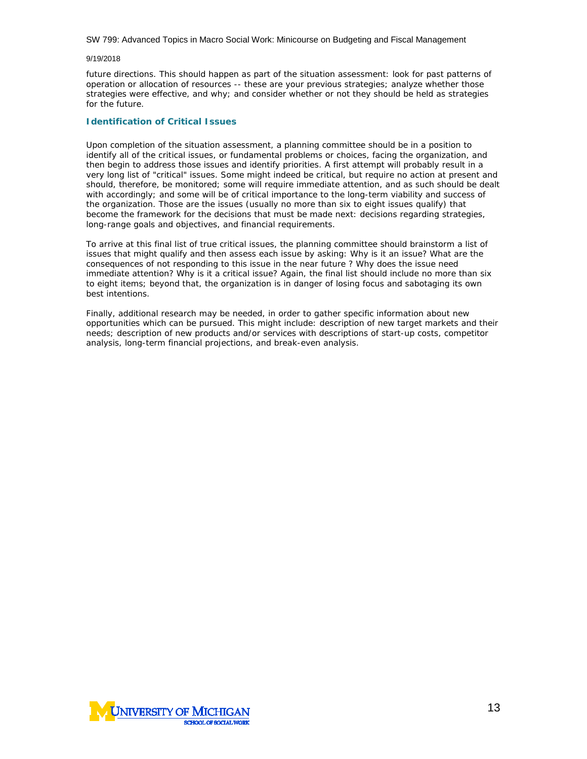#### 9/19/2018

future directions. This should happen as part of the situation assessment: look for past patterns of operation or allocation of resources -- these are your previous strategies; analyze whether those strategies were effective, and why; and consider whether or not they should be held as strategies for the future.

#### **Identification of Critical Issues**

Upon completion of the situation assessment, a planning committee should be in a position to identify all of the critical issues, or fundamental problems or choices, facing the organization, and then begin to address those issues and identify priorities. A first attempt will probably result in a very long list of "critical" issues. Some might indeed be critical, but require no action at present and should, therefore, be monitored; some will require immediate attention, and as such should be dealt with accordingly; and some will be of critical importance to the long-term viability and success of the organization. Those are the issues (usually no more than six to eight issues qualify) that become the framework for the decisions that must be made next: decisions regarding strategies, long-range goals and objectives, and financial requirements.

To arrive at this final list of true critical issues, the planning committee should brainstorm a list of issues that might qualify and then assess each issue by asking: Why is it an issue? What are the consequences of not responding to this issue in the near future ? Why does the issue need immediate attention? Why is it a critical issue? Again, the final list should include no more than six to eight items; beyond that, the organization is in danger of losing focus and sabotaging its own best intentions.

Finally, additional research may be needed, in order to gather specific information about new opportunities which can be pursued. This might include: description of new target markets and their needs; description of new products and/or services with descriptions of start-up costs, competitor analysis, long-term financial projections, and break-even analysis.

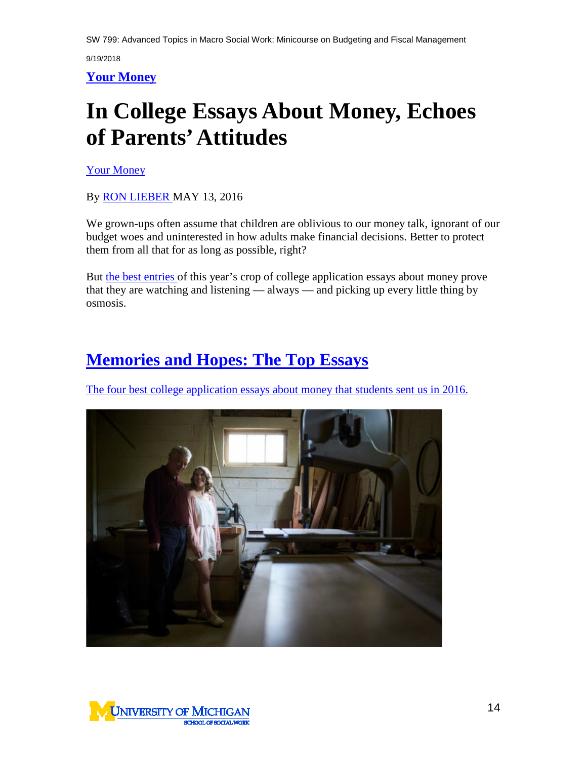9/19/2018

**[Your Money](http://www.nytimes.com/pages/your-money/index.html)**

## **In College Essays About Money, Echoes of Parents' Attitudes**

[Your Money](http://www.nytimes.com/column/your-money)

By [RON LIEBER M](http://topics.nytimes.com/top/reference/timestopics/people/l/ron_lieber/index.html)AY 13, 2016

We grown-ups often assume that children are oblivious to our money talk, ignorant of our budget woes and uninterested in how adults make financial decisions. Better to protect them from all that for as long as possible, right?

But [the best entries o](http://www.nytimes.com/interactive/2016/05/12/your-money/student-college-essays-about-money.html)f this year's crop of college application essays about money prove that they are watching and listening — always — and picking up every little thing by osmosis.

### **[Memories and Hopes: The Top Essays](http://www.nytimes.com/interactive/2016/05/12/your-money/student-college-essays-about-money.html)**

[The four best college application essays about money that students sent us in 2016.](http://www.nytimes.com/interactive/2016/05/12/your-money/student-college-essays-about-money.html) 



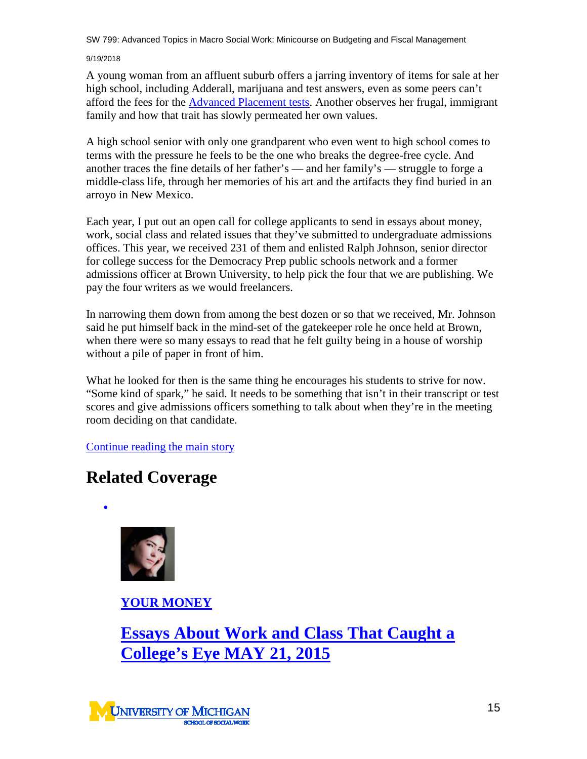#### 9/19/2018

A young woman from an affluent suburb offers a jarring inventory of items for sale at her high school, including Adderall, marijuana and test answers, even as some peers can't afford the fees for the [Advanced Placement tests.](http://topics.nytimes.com/top/reference/timestopics/subjects/a/advanced_placement_program/index.html?inline=nyt-classifier) Another observes her frugal, immigrant family and how that trait has slowly permeated her own values.

A high school senior with only one grandparent who even went to high school comes to terms with the pressure he feels to be the one who breaks the degree-free cycle. And another traces the fine details of her father's — and her family's — struggle to forge a middle-class life, through her memories of his art and the artifacts they find buried in an arroyo in New Mexico.

Each year, I put out an open call for college applicants to send in essays about money, work, social class and related issues that they've submitted to undergraduate admissions offices. This year, we received 231 of them and enlisted Ralph Johnson, senior director for college success for the Democracy Prep public schools network and a former admissions officer at Brown University, to help pick the four that we are publishing. We pay the four writers as we would freelancers.

In narrowing them down from among the best dozen or so that we received, Mr. Johnson said he put himself back in the mind-set of the gatekeeper role he once held at Brown, when there were so many essays to read that he felt guilty being in a house of worship without a pile of paper in front of him.

What he looked for then is the same thing he encourages his students to strive for now. "Some kind of spark," he said. It needs to be something that isn't in their transcript or test scores and give admissions officers something to talk about when they're in the meeting room deciding on that candidate.

[Continue reading the main story](http://www.nytimes.com/2016/05/14/your-money/in-college-essays-about-money-echoes-of-parents-attitudes.html?ref=todayspaper&_r=0#story-continues-2)

### **Related Coverage**



•

**[YOUR MONEY](http://www.nytimes.com/2015/05/23/your-money/essays-about-work-and-class-that-caught-a-colleges-eye.html)** 

**[Essays About Work and Class That Caught a](http://www.nytimes.com/2015/05/23/your-money/essays-about-work-and-class-that-caught-a-colleges-eye.html)  [College's Eye MAY 21, 2015](http://www.nytimes.com/2015/05/23/your-money/essays-about-work-and-class-that-caught-a-colleges-eye.html)** 

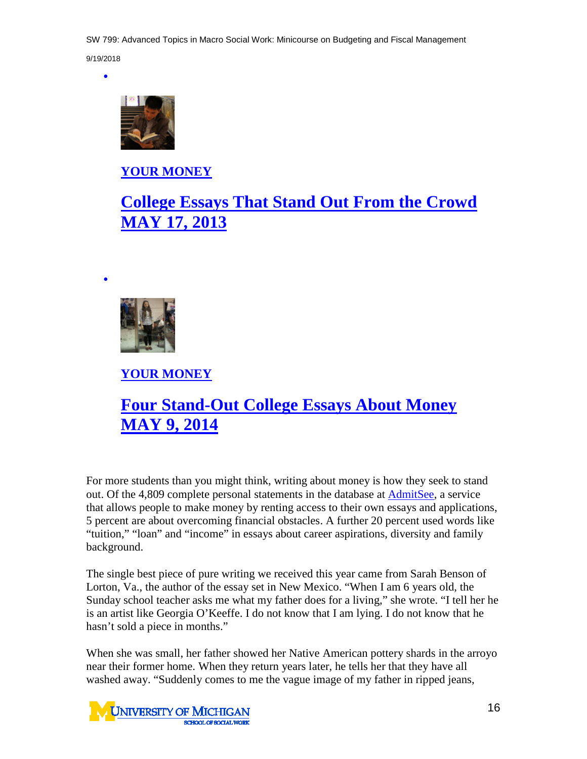9/19/2018 •

•



**[YOUR MONEY](http://www.nytimes.com/2013/05/18/your-money/four-college-essays-that-stand-out-from-the-crowd.html)** 

### **[College Essays That Stand Out From the Crowd](http://www.nytimes.com/2013/05/18/your-money/four-college-essays-that-stand-out-from-the-crowd.html)  [MAY 17, 2013](http://www.nytimes.com/2013/05/18/your-money/four-college-essays-that-stand-out-from-the-crowd.html)**



**[YOUR MONEY](http://www.nytimes.com/2014/05/10/your-money/four-stand-out-college-essays-about-money.html)** 

### **[Four Stand-Out College Essays About Money](http://www.nytimes.com/2014/05/10/your-money/four-stand-out-college-essays-about-money.html)  [MAY 9, 2014](http://www.nytimes.com/2014/05/10/your-money/four-stand-out-college-essays-about-money.html)**

For more students than you might think, writing about money is how they seek to stand out. Of the 4,809 complete personal statements in the database at [AdmitSee,](https://www.admitsee.com/about-college-admissions-advice-and-essays) a service that allows people to make money by renting access to their own essays and applications, 5 percent are about overcoming financial obstacles. A further 20 percent used words like "tuition," "loan" and "income" in essays about career aspirations, diversity and family background.

The single best piece of pure writing we received this year came from Sarah Benson of Lorton, Va., the author of the essay set in New Mexico. "When I am 6 years old, the Sunday school teacher asks me what my father does for a living," she wrote. "I tell her he is an artist like Georgia O'Keeffe. I do not know that I am lying. I do not know that he hasn't sold a piece in months."

When she was small, her father showed her Native American pottery shards in the arroyo near their former home. When they return years later, he tells her that they have all washed away. "Suddenly comes to me the vague image of my father in ripped jeans,

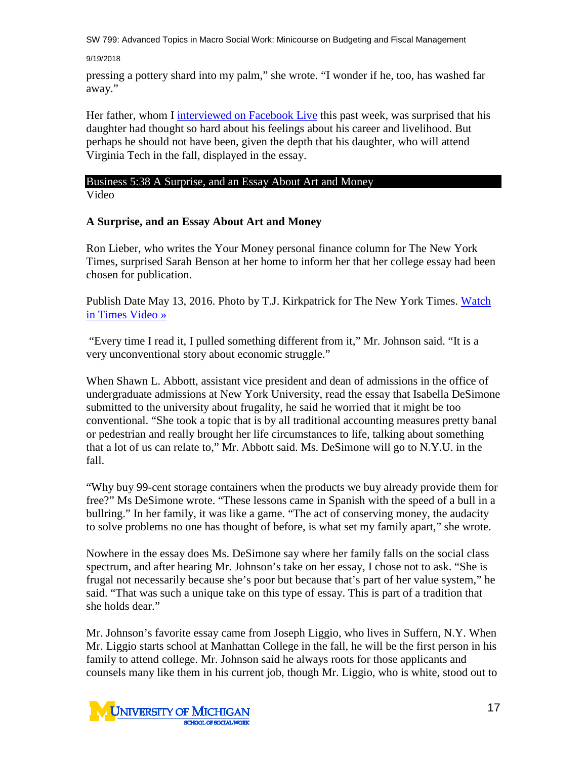9/19/2018

pressing a pottery shard into my palm," she wrote. "I wonder if he, too, has washed far away."

Her father, whom I [interviewed on Facebook Live](https://www.facebook.com/ronlieberauthor/posts/1008649242550934) this past week, was surprised that his daughter had thought so hard about his feelings about his career and livelihood. But perhaps he should not have been, given the depth that his daughter, who will attend Virginia Tech in the fall, displayed in the essay.

#### Business 5:38 A Surprise, and an Essay About Art and Money Video

## **A Surprise, and an Essay About Art and Money**

Ron Lieber, who writes the Your Money personal finance column for The New York Times, surprised Sarah Benson at her home to inform her that her college essay had been chosen for publication.

Publish Date May 13, 2016. Photo by T.J. Kirkpatrick for The New York Times. [Watch](http://www.nytimes.com/video/your-money/100000004403759/a-surprise-and-an-essay-about-art-and-money.html?action=click&contentCollection=your-money&module=embedded®ion=caption&pgtype=article)  [in Times Video »](http://www.nytimes.com/video/your-money/100000004403759/a-surprise-and-an-essay-about-art-and-money.html?action=click&contentCollection=your-money&module=embedded®ion=caption&pgtype=article)

"Every time I read it, I pulled something different from it," Mr. Johnson said. "It is a very unconventional story about economic struggle."

When Shawn L. Abbott, assistant vice president and dean of admissions in the office of undergraduate admissions at New York University, read the essay that Isabella DeSimone submitted to the university about frugality, he said he worried that it might be too conventional. "She took a topic that is by all traditional accounting measures pretty banal or pedestrian and really brought her life circumstances to life, talking about something that a lot of us can relate to," Mr. Abbott said. Ms. DeSimone will go to N.Y.U. in the fall.

"Why buy 99-cent storage containers when the products we buy already provide them for free?" Ms DeSimone wrote. "These lessons came in Spanish with the speed of a bull in a bullring." In her family, it was like a game. "The act of conserving money, the audacity to solve problems no one has thought of before, is what set my family apart," she wrote.

Nowhere in the essay does Ms. DeSimone say where her family falls on the social class spectrum, and after hearing Mr. Johnson's take on her essay, I chose not to ask. "She is frugal not necessarily because she's poor but because that's part of her value system," he said. "That was such a unique take on this type of essay. This is part of a tradition that she holds dear."

Mr. Johnson's favorite essay came from Joseph Liggio, who lives in Suffern, N.Y. When Mr. Liggio starts school at Manhattan College in the fall, he will be the first person in his family to attend college. Mr. Johnson said he always roots for those applicants and counsels many like them in his current job, though Mr. Liggio, who is white, stood out to

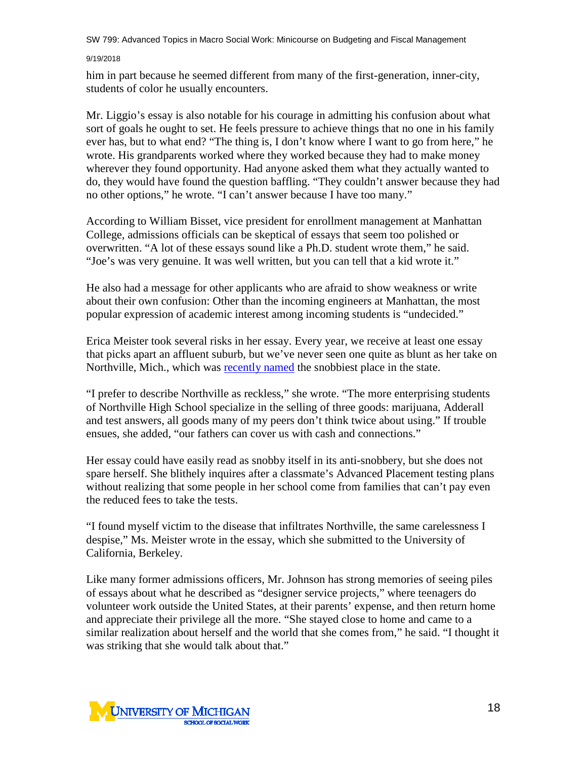#### 9/19/2018

him in part because he seemed different from many of the first-generation, inner-city, students of color he usually encounters.

Mr. Liggio's essay is also notable for his courage in admitting his confusion about what sort of goals he ought to set. He feels pressure to achieve things that no one in his family ever has, but to what end? "The thing is, I don't know where I want to go from here," he wrote. His grandparents worked where they worked because they had to make money wherever they found opportunity. Had anyone asked them what they actually wanted to do, they would have found the question baffling. "They couldn't answer because they had no other options," he wrote. "I can't answer because I have too many."

According to William Bisset, vice president for enrollment management at Manhattan College, admissions officials can be skeptical of essays that seem too polished or overwritten. "A lot of these essays sound like a Ph.D. student wrote them," he said. "Joe's was very genuine. It was well written, but you can tell that a kid wrote it."

He also had a message for other applicants who are afraid to show weakness or write about their own confusion: Other than the incoming engineers at Manhattan, the most popular expression of academic interest among incoming students is "undecided."

Erica Meister took several risks in her essay. Every year, we receive at least one essay that picks apart an affluent suburb, but we've never seen one quite as blunt as her take on Northville, Mich., which was [recently named](http://www.roadsnacks.net/snobbiest-places-in-michigan/) the snobbiest place in the state.

"I prefer to describe Northville as reckless," she wrote. "The more enterprising students of Northville High School specialize in the selling of three goods: marijuana, Adderall and test answers, all goods many of my peers don't think twice about using." If trouble ensues, she added, "our fathers can cover us with cash and connections."

Her essay could have easily read as snobby itself in its anti-snobbery, but she does not spare herself. She blithely inquires after a classmate's Advanced Placement testing plans without realizing that some people in her school come from families that can't pay even the reduced fees to take the tests.

"I found myself victim to the disease that infiltrates Northville, the same carelessness I despise," Ms. Meister wrote in the essay, which she submitted to the University of California, Berkeley.

Like many former admissions officers, Mr. Johnson has strong memories of seeing piles of essays about what he described as "designer service projects," where teenagers do volunteer work outside the United States, at their parents' expense, and then return home and appreciate their privilege all the more. "She stayed close to home and came to a similar realization about herself and the world that she comes from," he said. "I thought it was striking that she would talk about that."